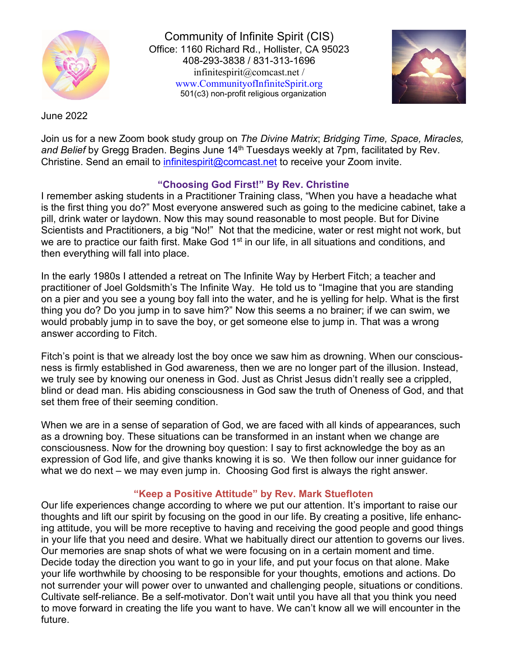

Community of Infinite Spirit (CIS) Office: 1160 Richard Rd., Hollister, CA 95023 408-293-3838 / 831-313-1696 [infinitespirit@comcast.net /](mailto:infinitespirit@comcast.net)  [www.CommunityofInfiniteSpirit.org](http://www.communityofinfinitespirit.org/) 501(c3) non-profit religious organization



June 2022

Join us for a new Zoom book study group on *The Divine Matrix*; *Bridging Time, Space, Miracles,*  and Belief by Gregg Braden. Begins June 14<sup>th</sup> Tuesdays weekly at 7pm, facilitated by Rev. Christine. Send an email to [infinitespirit@comcast.net](mailto:infinitespirit@comcast.net) to receive your Zoom invite.

### **"Choosing God First!" By Rev. Christine**

I remember asking students in a Practitioner Training class, "When you have a headache what is the first thing you do?" Most everyone answered such as going to the medicine cabinet, take a pill, drink water or laydown. Now this may sound reasonable to most people. But for Divine Scientists and Practitioners, a big "No!" Not that the medicine, water or rest might not work, but we are to practice our faith first. Make God 1<sup>st</sup> in our life, in all situations and conditions, and then everything will fall into place.

In the early 1980s I attended a retreat on The Infinite Way by Herbert Fitch; a teacher and practitioner of Joel Goldsmith's The Infinite Way. He told us to "Imagine that you are standing on a pier and you see a young boy fall into the water, and he is yelling for help. What is the first thing you do? Do you jump in to save him?" Now this seems a no brainer; if we can swim, we would probably jump in to save the boy, or get someone else to jump in. That was a wrong answer according to Fitch.

Fitch's point is that we already lost the boy once we saw him as drowning. When our consciousness is firmly established in God awareness, then we are no longer part of the illusion. Instead, we truly see by knowing our oneness in God. Just as Christ Jesus didn't really see a crippled, blind or dead man. His abiding consciousness in God saw the truth of Oneness of God, and that set them free of their seeming condition.

When we are in a sense of separation of God, we are faced with all kinds of appearances, such as a drowning boy. These situations can be transformed in an instant when we change are consciousness. Now for the drowning boy question: I say to first acknowledge the boy as an expression of God life, and give thanks knowing it is so. We then follow our inner guidance for what we do next – we may even jump in. Choosing God first is always the right answer.

## **"Keep a Positive Attitude" by Rev. Mark Stuefloten**

Our life experiences change according to where we put our attention. It's important to raise our thoughts and lift our spirit by focusing on the good in our life. By creating a positive, life enhancing attitude, you will be more receptive to having and receiving the good people and good things in your life that you need and desire. What we habitually direct our attention to governs our lives. Our memories are snap shots of what we were focusing on in a certain moment and time. Decide today the direction you want to go in your life, and put your focus on that alone. Make your life worthwhile by choosing to be responsible for your thoughts, emotions and actions. Do not surrender your will power over to unwanted and challenging people, situations or conditions. Cultivate self-reliance. Be a self-motivator. Don't wait until you have all that you think you need to move forward in creating the life you want to have. We can't know all we will encounter in the future.